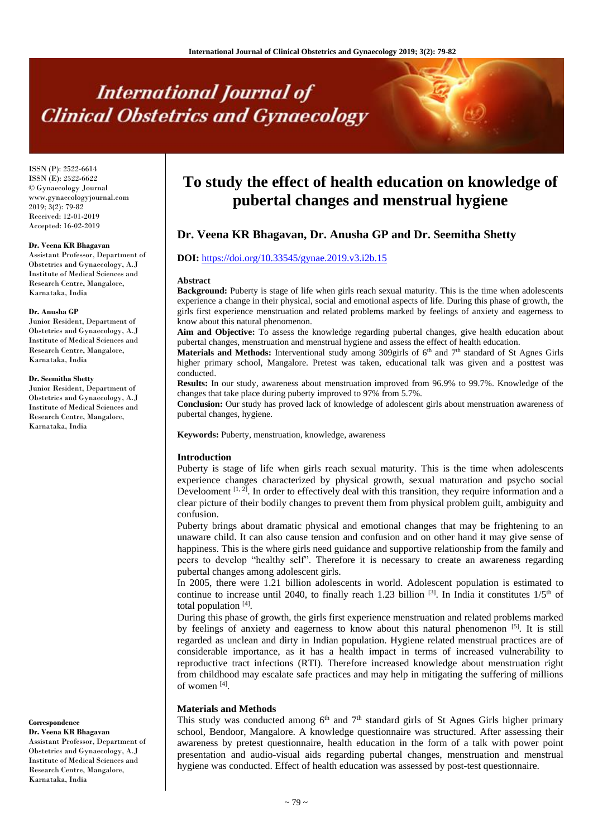# **International Journal of Clinical Obstetrics and Gynaecology**

ISSN (P): 2522-6614 ISSN (E): 2522-6622 © Gynaecology Journal www.gynaecologyjournal.com 2019; 3(2): 79-82 Received: 12-01-2019 Accepted: 16-02-2019

#### **Dr. Veena KR Bhagavan**

Assistant Professor, Department of Obstetrics and Gynaecology, A.J Institute of Medical Sciences and Research Centre, Mangalore, Karnataka, India

#### **Dr. Anusha GP**

Junior Resident, Department of Obstetrics and Gynaecology, A.J Institute of Medical Sciences and Research Centre, Mangalore, Karnataka, India

#### **Dr. Seemitha Shetty**

Junior Resident, Department of Obstetrics and Gynaecology, A.J Institute of Medical Sciences and Research Centre, Mangalore, Karnataka, India

**Correspondence Dr. Veena KR Bhagavan**

Assistant Professor, Department of Obstetrics and Gynaecology, A.J Institute of Medical Sciences and Research Centre, Mangalore, Karnataka, India

# **To study the effect of health education on knowledge of pubertal changes and menstrual hygiene**

# **Dr. Veena KR Bhagavan, Dr. Anusha GP and Dr. Seemitha Shetty**

# **DOI:** <https://doi.org/10.33545/gynae.2019.v3.i2b.15>

#### **Abstract**

**Background:** Puberty is stage of life when girls reach sexual maturity. This is the time when adolescents experience a change in their physical, social and emotional aspects of life. During this phase of growth, the girls first experience menstruation and related problems marked by feelings of anxiety and eagerness to know about this natural phenomenon.

**Aim and Objective:** To assess the knowledge regarding pubertal changes, give health education about pubertal changes, menstruation and menstrual hygiene and assess the effect of health education.

Materials and Methods: Interventional study among 309girls of 6<sup>th</sup> and 7<sup>th</sup> standard of St Agnes Girls higher primary school, Mangalore. Pretest was taken, educational talk was given and a posttest was conducted.

**Results:** In our study, awareness about menstruation improved from 96.9% to 99.7%. Knowledge of the changes that take place during puberty improved to 97% from 5.7%.

**Conclusion:** Our study has proved lack of knowledge of adolescent girls about menstruation awareness of pubertal changes, hygiene.

**Keywords:** Puberty, menstruation, knowledge, awareness

#### **Introduction**

Puberty is stage of life when girls reach sexual maturity. This is the time when adolescents experience changes characterized by physical growth, sexual maturation and psycho social Develooment  $[1, 2]$ . In order to effectively deal with this transition, they require information and a clear picture of their bodily changes to prevent them from physical problem guilt, ambiguity and confusion.

Puberty brings about dramatic physical and emotional changes that may be frightening to an unaware child. It can also cause tension and confusion and on other hand it may give sense of happiness. This is the where girls need guidance and supportive relationship from the family and peers to develop "healthy self". Therefore it is necessary to create an awareness regarding pubertal changes among adolescent girls.

In 2005, there were 1.21 billion adolescents in world. Adolescent population is estimated to continue to increase until 2040, to finally reach 1.23 billion  $^{[3]}$ . In India it constitutes  $1/5<sup>th</sup>$  of total population [4].

During this phase of growth, the girls first experience menstruation and related problems marked by feelings of anxiety and eagerness to know about this natural phenomenon  $[5]$ . It is still regarded as unclean and dirty in Indian population. Hygiene related menstrual practices are of considerable importance, as it has a health impact in terms of increased vulnerability to reproductive tract infections (RTI). Therefore increased knowledge about menstruation right from childhood may escalate safe practices and may help in mitigating the suffering of millions of women [4].

#### **Materials and Methods**

This study was conducted among  $6<sup>th</sup>$  and  $7<sup>th</sup>$  standard girls of St Agnes Girls higher primary school, Bendoor, Mangalore. A knowledge questionnaire was structured. After assessing their awareness by pretest questionnaire, health education in the form of a talk with power point presentation and audio-visual aids regarding pubertal changes, menstruation and menstrual hygiene was conducted. Effect of health education was assessed by post-test questionnaire.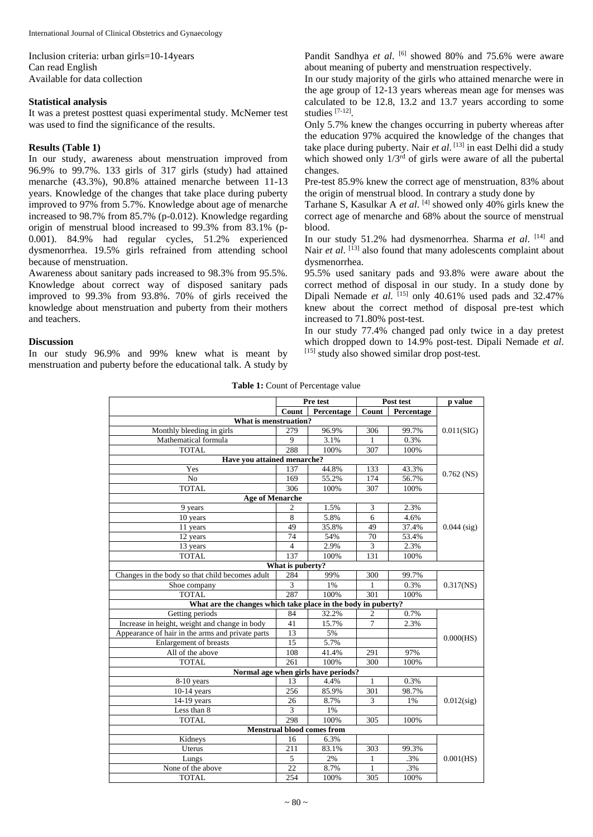Inclusion criteria: urban girls=10-14years Can read English Available for data collection

#### **Statistical analysis**

It was a pretest posttest quasi experimental study. McNemer test was used to find the significance of the results.

### **Results (Table 1)**

In our study, awareness about menstruation improved from 96.9% to 99.7%. 133 girls of 317 girls (study) had attained menarche (43.3%), 90.8% attained menarche between 11-13 years. Knowledge of the changes that take place during puberty improved to 97% from 5.7%. Knowledge about age of menarche increased to 98.7% from 85.7% (p-0.012). Knowledge regarding origin of menstrual blood increased to 99.3% from 83.1% (p-0.001). 84.9% had regular cycles, 51.2% experienced dysmenorrhea. 19.5% girls refrained from attending school because of menstruation.

Awareness about sanitary pads increased to 98.3% from 95.5%. Knowledge about correct way of disposed sanitary pads improved to 99.3% from 93.8%. 70% of girls received the knowledge about menstruation and puberty from their mothers and teachers.

#### **Discussion**

In our study 96.9% and 99% knew what is meant by menstruation and puberty before the educational talk. A study by

Pandit Sandhya et al. <sup>[6]</sup> showed 80% and 75.6% were aware about meaning of puberty and menstruation respectively.

In our study majority of the girls who attained menarche were in the age group of 12-13 years whereas mean age for menses was calculated to be 12.8, 13.2 and 13.7 years according to some studies [7-12] .

Only 5.7% knew the changes occurring in puberty whereas after the education 97% acquired the knowledge of the changes that take place during puberty. Nair *et al*. [13] in east Delhi did a study which showed only  $1/3<sup>rd</sup>$  of girls were aware of all the pubertal changes.

Pre-test 85.9% knew the correct age of menstruation, 83% about the origin of menstrual blood. In contrary a study done by

Tarhane S, Kasulkar A *et al*. [4] showed only 40% girls knew the correct age of menarche and 68% about the source of menstrual blood.

In our study 51.2% had dysmenorrhea. Sharma et al. [14] and Nair et al. [13] also found that many adolescents complaint about dysmenorrhea.

95.5% used sanitary pads and 93.8% were aware about the correct method of disposal in our study. In a study done by Dipali Nemade *et al.* <sup>[15]</sup> only 40.61% used pads and 32.47% knew about the correct method of disposal pre-test which increased to 71.80% post-test.

In our study 77.4% changed pad only twice in a day pretest which dropped down to 14.9% post-test. Dipali Nemade *et al*. [15] study also showed similar drop post-test.

Table 1: Count of Percentage value

|                                                               |                  | Pre test                          |                | Post test  | p value       |  |
|---------------------------------------------------------------|------------------|-----------------------------------|----------------|------------|---------------|--|
|                                                               | Count            | Percentage                        | Count          | Percentage |               |  |
| What is menstruation?                                         |                  |                                   |                |            |               |  |
| Monthly bleeding in girls                                     | 279              | 96.9%                             | 306            | 99.7%      | 0.011(SIG)    |  |
| Mathematical formula                                          | 9                | 3.1%                              | 1              | 0.3%       |               |  |
| <b>TOTAL</b>                                                  | 288              | 100%                              | 307            | 100%       |               |  |
| Have you attained menarche?                                   |                  |                                   |                |            |               |  |
| Yes                                                           | 137              | 44.8%                             | 133            | 43.3%      |               |  |
| N <sub>0</sub>                                                | 169              | 55.2%                             | 174            | 56.7%      | $0.762$ (NS)  |  |
| <b>TOTAL</b>                                                  | 306              | 100%                              | 307            | 100%       |               |  |
| <b>Age of Menarche</b>                                        |                  |                                   |                |            |               |  |
| 9 years                                                       | $\overline{c}$   | 1.5%                              | 3              | 2.3%       |               |  |
| 10 years                                                      | 8                | 5.8%                              | 6              | 4.6%       |               |  |
| 11 years                                                      | 49               | 35.8%                             | 49             | 37.4%      | $0.044$ (sig) |  |
| 12 years                                                      | 74               | 54%                               | 70             | 53.4%      |               |  |
| 13 years                                                      | $\overline{4}$   | 2.9%                              | 3              | 2.3%       |               |  |
| <b>TOTAL</b>                                                  | 137              | 100%                              | 131            | 100%       |               |  |
|                                                               | What is puberty? |                                   |                |            |               |  |
| Changes in the body so that child becomes adult               | 284              | 99%                               | 300            | 99.7%      |               |  |
| Shoe company                                                  | 3                | 1%                                | 1              | 0.3%       | $0.317$ (NS)  |  |
| <b>TOTAL</b>                                                  | 287              | 100%                              | 301            | 100%       |               |  |
| What are the changes which take place in the body in puberty? |                  |                                   |                |            |               |  |
| Getting periods                                               | 84               | 32.2%                             | $\overline{2}$ | 0.7%       |               |  |
| Increase in height, weight and change in body                 | 41               | 15.7%                             | 7              | 2.3%       |               |  |
| Appearance of hair in the arms and private parts              | 13               | 5%                                |                |            | 0.000(HS)     |  |
| Enlargement of breasts                                        | 15               | 5.7%                              |                |            |               |  |
| All of the above                                              | 108              | 41.4%                             | 291            | 97%        |               |  |
| <b>TOTAL</b>                                                  | 261              | 100%                              | 300            | 100%       |               |  |
| Normal age when girls have periods?                           |                  |                                   |                |            |               |  |
| 8-10 years                                                    | 13               | 4.4%                              | 1              | 0.3%       |               |  |
| $10-14$ years                                                 | 256              | 85.9%                             | 301            | 98.7%      |               |  |
| 14-19 years                                                   | 26               | 8.7%                              | 3              | 1%         | $0.012$ (sig) |  |
| Less than 8                                                   | 3                | 1%                                |                |            |               |  |
| <b>TOTAL</b>                                                  | 298              | 100%                              | 305            | 100%       |               |  |
|                                                               |                  | <b>Menstrual blood comes from</b> |                |            |               |  |
| Kidneys                                                       | 16               | 6.3%                              |                |            |               |  |
| Uterus                                                        | 211              | 83.1%                             | 303            | 99.3%      |               |  |
| Lungs                                                         | 5                | 2%                                | 1              | .3%        | 0.001(HS)     |  |
| None of the above                                             | 22               | 8.7%                              | 1              | .3%        |               |  |
| <b>TOTAL</b>                                                  | 254              | 100%                              | 305            | 100%       |               |  |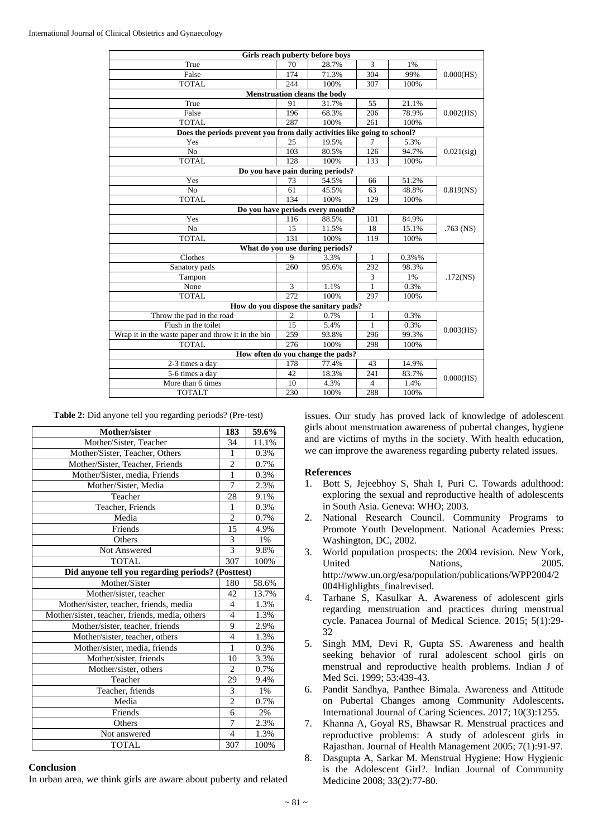|                                                                          |     | Girls reach puberty before boys       |              |       |               |  |
|--------------------------------------------------------------------------|-----|---------------------------------------|--------------|-------|---------------|--|
| True                                                                     | 70  | 28.7%                                 | 3            | 1%    | 0.000(HS)     |  |
| False                                                                    | 174 | 71.3%                                 | 304          | 99%   |               |  |
| <b>TOTAL</b>                                                             | 244 | 100%                                  | 307          | 100%  |               |  |
|                                                                          |     | <b>Menstruation cleans the body</b>   |              |       |               |  |
| True                                                                     | 91  | 31.7%                                 | 55           | 21.1% | 0.002(HS)     |  |
| False                                                                    | 196 | 68.3%                                 | 206          | 78.9% |               |  |
| <b>TOTAL</b>                                                             | 287 | 100%                                  | 261          | 100%  |               |  |
| Does the periods prevent you from daily activities like going to school? |     |                                       |              |       |               |  |
| Yes                                                                      | 25  | 19.5%                                 |              | 5.3%  |               |  |
| N <sub>o</sub>                                                           | 103 | 80.5%                                 | 126          | 94.7% | $0.021$ (sig) |  |
| <b>TOTAL</b>                                                             | 128 | 100%                                  | 133          | 100%  |               |  |
| Do you have pain during periods?                                         |     |                                       |              |       |               |  |
| Yes                                                                      | 73  | 54.5%                                 | 66           | 51.2% |               |  |
| No                                                                       | 61  | 45.5%                                 | 63           | 48.8% | $0.819$ (NS)  |  |
| <b>TOTAL</b>                                                             | 134 | 100%                                  | 129          | 100%  |               |  |
| Do you have periods every month?                                         |     |                                       |              |       |               |  |
| Yes                                                                      | 116 | 88.5%                                 | 101          | 84.9% |               |  |
| No                                                                       | 15  | 11.5%                                 | 18           | 15.1% | $.763$ (NS)   |  |
| <b>TOTAL</b>                                                             | 131 | 100%                                  | 119          | 100%  |               |  |
|                                                                          |     | What do you use during periods?       |              |       |               |  |
| Clothes                                                                  | 9   | 3.3%                                  | 1            | 0.3%% |               |  |
| Sanatory pads                                                            | 260 | 95.6%                                 | 292          | 98.3% |               |  |
| Tampon                                                                   |     |                                       | 3            | 1%    | $.172$ (NS)   |  |
| None                                                                     | 3   | 1.1%                                  | $\mathbf{1}$ | 0.3%  |               |  |
| <b>TOTAL</b>                                                             | 272 | 100%                                  | 297          | 100%  |               |  |
|                                                                          |     | How do you dispose the sanitary pads? |              |       |               |  |
| Throw the pad in the road                                                | 2   | 0.7%                                  | 1            | 0.3%  | 0.003(HS)     |  |
| Flush in the toilet                                                      | 15  | 5.4%                                  | 1            | 0.3%  |               |  |
| Wrap it in the waste paper and throw it in the bin                       | 259 | 93.8%                                 | 296          | 99.3% |               |  |
| <b>TOTAL</b>                                                             | 276 | 100%                                  | 298          | 100%  |               |  |
| How often do you change the pads?                                        |     |                                       |              |       |               |  |
| 2-3 times a day                                                          | 178 | 77.4%                                 | 43           | 14.9% | 0.000(HS)     |  |
| 5-6 times a day                                                          | 42  | 18.3%                                 | 241          | 83.7% |               |  |
| More than 6 times                                                        | 10  | 4.3%                                  | 4            | 1.4%  |               |  |
| <b>TOTALT</b>                                                            | 230 | 100%                                  | 288          | 100%  |               |  |

|  |  |  | Table 2: Did anyone tell you regarding periods? (Pre-test) |  |  |
|--|--|--|------------------------------------------------------------|--|--|
|--|--|--|------------------------------------------------------------|--|--|

| Mother/sister                                     | 183            | 59.6% |  |  |
|---------------------------------------------------|----------------|-------|--|--|
| Mother/Sister, Teacher                            | 34             | 11.1% |  |  |
| Mother/Sister, Teacher, Others                    | 1              | 0.3%  |  |  |
| Mother/Sister, Teacher, Friends                   | $\overline{2}$ | 0.7%  |  |  |
| Mother/Sister, media, Friends                     | $\mathbf{1}$   | 0.3%  |  |  |
| Mother/Sister, Media                              | 7              | 2.3%  |  |  |
| Teacher                                           | 28             | 9.1%  |  |  |
| Teacher, Friends                                  | 1              | 0.3%  |  |  |
| Media                                             | $\overline{c}$ | 0.7%  |  |  |
| Friends                                           | 15             | 4.9%  |  |  |
| <b>Others</b>                                     | 3              | 1%    |  |  |
| Not Answered                                      | $\overline{3}$ | 9.8%  |  |  |
| <b>TOTAL</b>                                      | 307            | 100%  |  |  |
| Did anyone tell you regarding periods? (Posttest) |                |       |  |  |
| Mother/Sister                                     | 180            | 58.6% |  |  |
| Mother/sister, teacher                            | 42             | 13.7% |  |  |
| Mother/sister, teacher, friends, media            | 4              | 1.3%  |  |  |
| Mother/sister, teacher, friends, media, others    | $\overline{4}$ | 1.3%  |  |  |
| Mother/sister, teacher, friends                   | 9              | 2.9%  |  |  |
| Mother/sister, teacher, others                    | $\overline{4}$ | 1.3%  |  |  |
| Mother/sister, media, friends                     | 1              | 0.3%  |  |  |
| Mother/sister, friends                            | 10             | 3.3%  |  |  |
| Mother/sister, others                             | 2              | 0.7%  |  |  |
| Teacher                                           | 29             | 9.4%  |  |  |
| Teacher, friends                                  | 3              | 1%    |  |  |
| Media                                             | $\overline{c}$ | 0.7%  |  |  |
| Friends                                           | 6              | 2%    |  |  |
| Others                                            | 7              | 2.3%  |  |  |
| Not answered                                      | $\overline{4}$ | 1.3%  |  |  |
| <b>TOTAL</b>                                      | 307            | 100%  |  |  |

# **Conclusion**

In urban area, we think girls are aware about puberty and related

issues. Our study has proved lack of knowledge of adolescent girls about menstruation awareness of pubertal changes, hygiene and are victims of myths in the society. With health education, we can improve the awareness regarding puberty related issues.

## **References**

- 1. Bott S, Jejeebhoy S, Shah I, Puri C. Towards adulthood: exploring the sexual and reproductive health of adolescents in South Asia. Geneva: WHO; 2003.
- 2. National Research Council. Community Programs to Promote Youth Development. National Academies Press: Washington, DC, 2002.
- 3. World population prospects: the 2004 revision. New York, United Nations, 2005. http://www.un.org/esa/population/publications/WPP2004/2 004Highlights\_finalrevised.
- 4. Tarhane S, Kasulkar A. Awareness of adolescent girls regarding menstruation and practices during menstrual cycle. Panacea Journal of Medical Science. 2015; 5(1):29- 32
- 5. Singh MM, Devi R, Gupta SS. Awareness and health seeking behavior of rural adolescent school girls on menstrual and reproductive health problems. Indian J of Med Sci. 1999; 53:439-43.
- 6. Pandit Sandhya, Panthee Bimala. Awareness and Attitude on Pubertal Changes among Community Adolescents**.** International Journal of Caring Sciences. 2017; 10(3):1255.
- 7. Khanna A, Goyal RS, Bhawsar R. Menstrual practices and reproductive problems: A study of adolescent girls in Rajasthan. Journal of Health Management 2005; 7(1):91-97.
- 8. Dasgupta A, Sarkar M. Menstrual Hygiene: How Hygienic is the Adolescent Girl?. Indian Journal of Community Medicine 2008; 33(2):77-80.